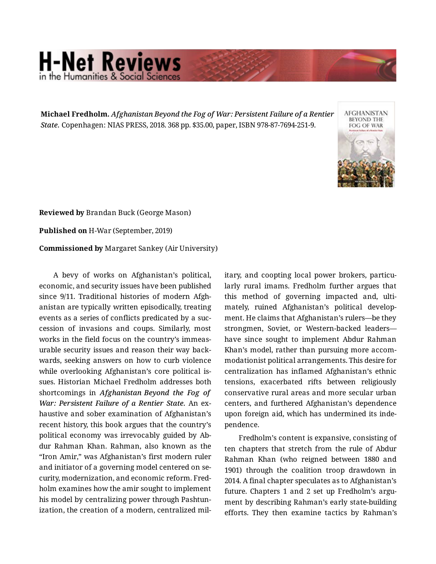## **H-Net Reviews** in the Humanities & Social Scie

**Michael Fredholm.** *Afghanistan Beyond the Fog of War: Persistent Failure of a Rentier State.* Copenhagen: NIAS PRESS, 2018. 368 pp. \$35.00, paper, ISBN 978-87-7694-251-9.



**Reviewed by** Brandan Buck (George Mason)

**Published on** H-War (September, 2019)

**Commissioned by** Margaret Sankey (Air University)

A bevy of works on Afghanistan's political, economic, and security issues have been published since 9/11. Traditional histories of modern Afghanistan are typically written episodically, treating events as a series of conflicts predicated by a suc‐ cession of invasions and coups. Similarly, most works in the field focus on the country's immeas‐ urable security issues and reason their way back‐ wards, seeking answers on how to curb violence while overlooking Afghanistan's core political is‐ sues. Historian Michael Fredholm addresses both shortcomings in *Afghanistan Beyond the Fog of War: Persistent Failure of a Rentier State.* An ex‐ haustive and sober examination of Afghanistan's recent history, this book argues that the country's political economy was irrevocably guided by Ab‐ dur Rahman Khan. Rahman, also known as the "Iron Amir," was Afghanistan's first modern ruler and initiator of a governing model centered on se‐ curity, modernization, and economic reform. Fred‐ holm examines how the amir sought to implement his model by centralizing power through Pashtun‐ ization, the creation of a modern, centralized military, and coopting local power brokers, particu‐ larly rural imams. Fredholm further argues that this method of governing impacted and, ulti‐ mately, ruined Afghanistan's political develop‐ ment. He claims that Afghanistan's rulers—be they strongmen, Soviet, or Western-backed leaders have since sought to implement Abdur Rahman Khan's model, rather than pursuing more accom‐ modationist political arrangements. This desire for centralization has inflamed Afghanistan's ethnic tensions, exacerbated rifts between religiously conservative rural areas and more secular urban centers, and furthered Afghanistan's dependence upon foreign aid, which has undermined its inde‐ pendence.

Fredholm's content is expansive, consisting of ten chapters that stretch from the rule of Abdur Rahman Khan (who reigned between 1880 and 1901) through the coalition troop drawdown in 2014. A final chapter speculates as to Afghanistan's future. Chapters 1 and 2 set up Fredholm's argument by describing Rahman's early state-building efforts. They then examine tactics by Rahman's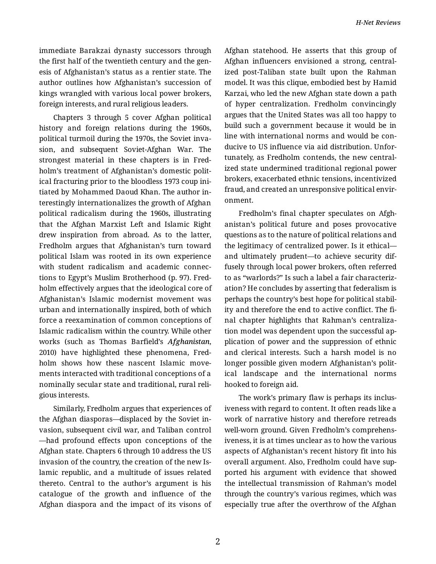immediate Barakzai dynasty successors through the first half of the twentieth century and the gen‐ esis of Afghanistan's status as a rentier state. The author outlines how Afghanistan's succession of kings wrangled with various local power brokers, foreign interests, and rural religious leaders.

Chapters 3 through 5 cover Afghan political history and foreign relations during the 1960s, political turmoil during the 1970s, the Soviet inva‐ sion, and subsequent Soviet-Afghan War. The strongest material in these chapters is in Fred‐ holm's treatment of Afghanistan's domestic polit‐ ical fracturing prior to the bloodless 1973 coup ini‐ tiated by Mohammed Daoud Khan. The author in‐ terestingly internationalizes the growth of Afghan political radicalism during the 1960s, illustrating that the Afghan Marxist Left and Islamic Right drew inspiration from abroad. As to the latter, Fredholm argues that Afghanistan's turn toward political Islam was rooted in its own experience with student radicalism and academic connec‐ tions to Egypt's Muslim Brotherhood (p. 97). Fred‐ holm effectively argues that the ideological core of Afghanistan's Islamic modernist movement was urban and internationally inspired, both of which force a reexamination of common conceptions of Islamic radicalism within the country. While other works (such as Thomas Barfield's *Afghanistan*, 2010) have highlighted these phenomena, Fredholm shows how these nascent Islamic movements interacted with traditional conceptions of a nominally secular state and traditional, rural reli‐ gious interests.

Similarly, Fredholm argues that experiences of the Afghan diasporas—displaced by the Soviet in‐ vasion, subsequent civil war, and Taliban control —had profound effects upon conceptions of the Afghan state. Chapters 6 through 10 address the US invasion of the country, the creation of the new Is‐ lamic republic, and a multitude of issues related thereto. Central to the author's argument is his catalogue of the growth and influence of the Afghan diaspora and the impact of its visons of Afghan statehood. He asserts that this group of Afghan influencers envisioned a strong, central‐ ized post-Taliban state built upon the Rahman model. It was this clique, embodied best by Hamid Karzai, who led the new Afghan state down a path of hyper centralization. Fredholm convincingly argues that the United States was all too happy to build such a government because it would be in line with international norms and would be con‐ ducive to US influence via aid distribution. Unfor‐ tunately, as Fredholm contends, the new central‐ ized state undermined traditional regional power brokers, exacerbated ethnic tensions, incentivized fraud, and created an unresponsive political envir‐ onment.

Fredholm's final chapter speculates on Afgh‐ anistan's political future and poses provocative questions as to the nature of political relations and the legitimacy of centralized power. Is it ethical and ultimately prudent—to achieve security dif‐ fusely through local power brokers, often referred to as "warlords?" Is such a label a fair characteriz‐ ation? He concludes by asserting that federalism is perhaps the country's best hope for political stabil‐ ity and therefore the end to active conflict. The fi‐ nal chapter highlights that Rahman's centraliza‐ tion model was dependent upon the successful ap‐ plication of power and the suppression of ethnic and clerical interests. Such a harsh model is no longer possible given modern Afghanistan's polit‐ ical landscape and the international norms hooked to foreign aid.

The work's primary flaw is perhaps its inclus‐ iveness with regard to content. It often reads like a work of narrative history and therefore retreads well-worn ground. Given Fredholm's comprehens‐ iveness, it is at times unclear as to how the various aspects of Afghanistan's recent history fit into his overall argument. Also, Fredholm could have sup‐ ported his argument with evidence that showed the intellectual transmission of Rahman's model through the country's various regimes, which was especially true after the overthrow of the Afghan

2